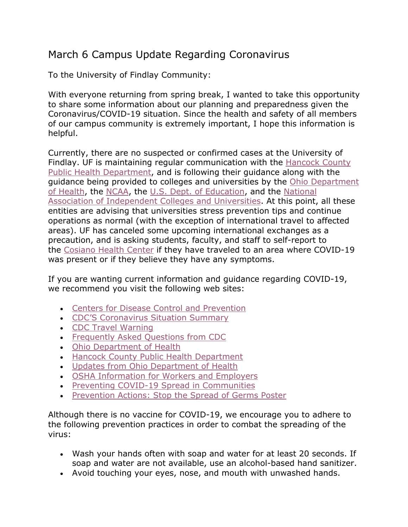## March 6 Campus Update Regarding Coronavirus

To the University of Findlay Community:

With everyone returning from spring break, I wanted to take this opportunity to share some information about our planning and preparedness given the Coronavirus/COVID-19 situation. Since the health and safety of all members of our campus community is extremely important, I hope this information is helpful.

Currently, there are no suspected or confirmed cases at the University of Findlay. UF is maintaining regular communication with the Hancock County Public Health Department, and is following their guidance along with the guidance being provided to colleges and universities by the Ohio Department of Health, the NCAA, the U.S. Dept. of Education, and the National Association of Independent Colleges and Universities. At this point, all these entities are advising that universities stress prevention tips and continue operations as normal (with the exception of international travel to affected areas). UF has canceled some upcoming international exchanges as a precaution, and is asking students, faculty, and staff to self-report to the Cosiano Health Center if they have traveled to an area where COVID-19 was present or if they believe they have any symptoms.

If you are wanting current information and guidance regarding COVID-19, we recommend you visit the following web sites:

- Centers for Disease Control and Prevention
- CDC'S Coronavirus Situation Summary
- CDC Travel Warning
- Frequently Asked Questions from CDC
- Ohio Department of Health
- Hancock County Public Health Department
- Updates from Ohio Department of Health
- OSHA Information for Workers and Employers
- Preventing COVID-19 Spread in Communities
- Prevention Actions: Stop the Spread of Germs Poster

Although there is no vaccine for COVID-19, we encourage you to adhere to the following prevention practices in order to combat the spreading of the virus:

- Wash your hands often with soap and water for at least 20 seconds. If soap and water are not available, use an alcohol-based hand sanitizer.
- Avoid touching your eyes, nose, and mouth with unwashed hands.